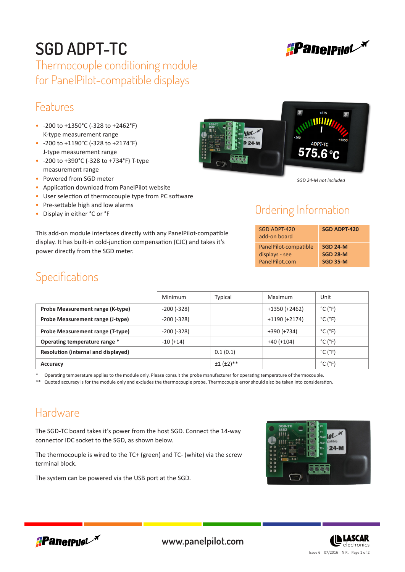

# **SGD ADPT-TC**

Thermocouple conditioning module for PanelPilot-compatible displays

## Features

- -200 to +1350°C (-328 to +2462°F) K-type measurement range
- -200 to +1190°C (-328 to +2174°F) J-type measurement range
- -200 to +390°C (-328 to +734°F) T-type measurement range
- Powered from SGD meter
- Application download from PanelPilot website
- User selection of thermocouple type from PC software
- Pre-settable high and low alarms
- Display in either °C or °F

This add-on module interfaces directly with any PanelPilot-compatible display. It has built-in cold-junction compensation (CJC) and takes it's power directly from the SGD meter.



*SGD 24-M not included*

#### Ordering Information

| SGD ADPT-420<br>add-on board | <b>SGD ADPT-420</b> |
|------------------------------|---------------------|
| PanelPilot-compatible        | <b>SGD 24-M</b>     |
| displays - see               | <b>SGD 28-M</b>     |
| PanelPilot.com               | <b>SGD 35-M</b>     |

## **Specifications**

|                                            | Minimum         | Typical               | Maximum         | Unit                         |
|--------------------------------------------|-----------------|-----------------------|-----------------|------------------------------|
| Probe Measurement range (K-type)           | $-200$ $(-328)$ |                       | $+1350 (+2462)$ | $^{\circ}$ C ( $^{\circ}$ F) |
| Probe Measurement range (J-type)           | $-200$ $(-328)$ |                       | $+1190 (+2174)$ | $^{\circ}$ C ( $^{\circ}$ F) |
| Probe Measurement range (T-type)           | $-200$ $(-328)$ |                       | +390 (+734)     | $^{\circ}$ C ( $^{\circ}$ F) |
| Operating temperature range *              | $-10 (+14)$     |                       | $+40 (+104)$    | $^{\circ}$ C ( $^{\circ}$ F) |
| <b>Resolution (internal and displayed)</b> |                 | 0.1(0.1)              |                 | $^{\circ}$ C ( $^{\circ}$ F) |
| Accuracy                                   |                 | $\pm 1$ ( $\pm 2$ )** |                 | $^{\circ}$ C ( $^{\circ}$ F) |

Operating temperature applies to the module only. Please consult the probe manufacturer for operating temperature of thermocouple.

Quoted accuracy is for the module only and excludes the thermocouple probe. Thermocouple error should also be taken into consideration.

#### Hardware

The SGD-TC board takes it's power from the host SGD. Connect the 14-way connector IDC socket to the SGD, as shown below.

The thermocouple is wired to the TC+ (green) and TC- (white) via the screw terminal block.

The system can be powered via the USB port at the SGD.